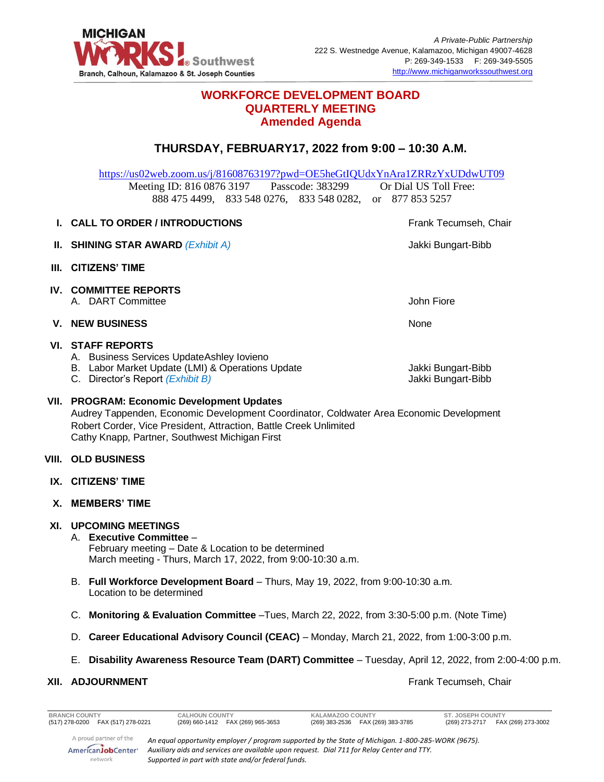

## **WORKFORCE DEVELOPMENT BOARD QUARTERLY MEETING Amended Agenda**

## **THURSDAY, FEBRUARY17, 2022 from 9:00 – 10:30 A.M.**

<https://us02web.zoom.us/j/81608763197?pwd=OE5heGtIQUdxYnAra1ZRRzYxUDdwUT09> Meeting ID: 816 0876 3197 Passcode: 383299 Or Dial US Toll Free: 888 475 4499, 833 548 0276, 833 548 0282, or 877 853 5257 **I. CALL TO ORDER / INTRODUCTIONS Frank Tecumseh, Chair II. SHINING STAR AWARD** *(Exhibit A)* Jakki Bungart-Bibb **III. CITIZENS' TIME IV. COMMITTEE REPORTS** A. DART Committee And The Second Second Second Second Second Second Second Second Second Second Second Second Second Second Second Second Second Second Second Second Second Second Second Second Second Second Second Second **V. NEW BUSINESS** None **VI. STAFF REPORTS**  A. Business Services UpdateAshley Iovieno B. Labor Market Update (LMI) & Operations Update **Jakki Bungart-Bibb** C. Director's Report *(Exhibit B)* Jakki Bungart-Bibb **VII. PROGRAM: Economic Development Updates** Audrey Tappenden, Economic Development Coordinator, Coldwater Area Economic Development Robert Corder, Vice President, Attraction, Battle Creek Unlimited Cathy Knapp, Partner, Southwest Michigan First **VIII. OLD BUSINESS IX. CITIZENS' TIME X. MEMBERS' TIME XI. UPCOMING MEETINGS** A. **Executive Committee** – February meeting – Date & Location to be determined March meeting - Thurs, March 17, 2022, from 9:00-10:30 a.m. B. **Full Workforce Development Board** – Thurs, May 19, 2022, from 9:00-10:30 a.m. Location to be determined C. **Monitoring & Evaluation Committee** –Tues, March 22, 2022, from 3:30-5:00 p.m. (Note Time) D. **Career Educational Advisory Council (CEAC)** – Monday, March 21, 2022, from 1:00-3:00 p.m.

E. **Disability Awareness Resource Team (DART) Committee** – Tuesday, April 12, 2022, from 2:00-4:00 p.m.

#### **XII. ADJOURNMENT Example 20 ADJOURNMENT Frank Tecumseh, Chair**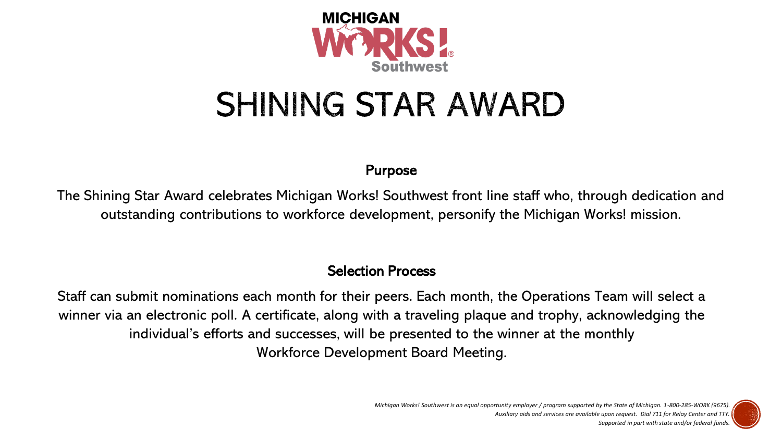

# SHINING STAR AWARD

# Purpose

The Shining Star Award celebrates Michigan Works! Southwest front line staff who, through dedication and outstanding contributions to workforce development, personify the Michigan Works! mission.

# Selection Process

Staff can submit nominations each month for their peers. Each month, the Operations Team will select a winner via an electronic poll. A certificate, along with a traveling plaque and trophy, acknowledging the individual's efforts and successes, will be presented to the winner at the monthly Workforce Development Board Meeting.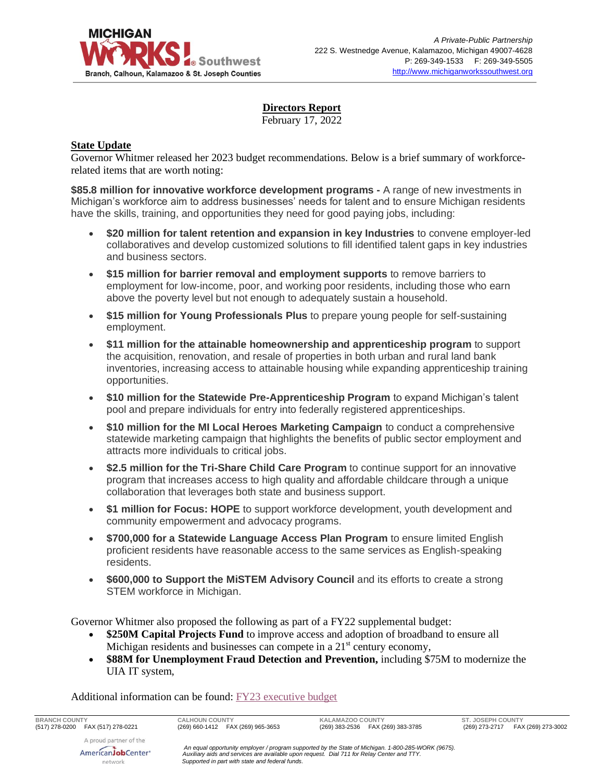

## **Directors Report**

February 17, 2022

#### **State Update**

Governor Whitmer released her 2023 budget recommendations. Below is a brief summary of workforcerelated items that are worth noting:

**\$85.8 million for innovative workforce development programs -** A range of new investments in Michigan's workforce aim to address businesses' needs for talent and to ensure Michigan residents have the skills, training, and opportunities they need for good paying jobs, including:

- **\$20 million for talent retention and expansion in key Industries** to convene employer-led collaboratives and develop customized solutions to fill identified talent gaps in key industries and business sectors.
- **\$15 million for barrier removal and employment supports** to remove barriers to employment for low-income, poor, and working poor residents, including those who earn above the poverty level but not enough to adequately sustain a household.
- **\$15 million for Young Professionals Plus** to prepare young people for self-sustaining employment.
- **\$11 million for the attainable homeownership and apprenticeship program** to support the acquisition, renovation, and resale of properties in both urban and rural land bank inventories, increasing access to attainable housing while expanding apprenticeship training opportunities.
- **\$10 million for the Statewide Pre-Apprenticeship Program** to expand Michigan's talent pool and prepare individuals for entry into federally registered apprenticeships.
- **\$10 million for the MI Local Heroes Marketing Campaign** to conduct a comprehensive statewide marketing campaign that highlights the benefits of public sector employment and attracts more individuals to critical jobs.
- **\$2.5 million for the Tri-Share Child Care Program** to continue support for an innovative program that increases access to high quality and affordable childcare through a unique collaboration that leverages both state and business support.
- **\$1 million for Focus: HOPE** to support workforce development, youth development and community empowerment and advocacy programs.
- **\$700,000 for a Statewide Language Access Plan Program** to ensure limited English proficient residents have reasonable access to the same services as English-speaking residents.
- **\$600,000 to Support the MiSTEM Advisory Council** and its efforts to create a strong STEM workforce in Michigan.

Governor Whitmer also proposed the following as part of a FY22 supplemental budget:

- **\$250M Capital Projects Fund** to improve access and adoption of broadband to ensure all Michigan residents and businesses can compete in a  $21<sup>st</sup>$  century economy,
- **\$88M for Unemployment Fraud Detection and Prevention,** including \$75M to modernize the UIA IT system,

Additional information can be found: [FY23 executive budget](https://www.michigan.gov/budget/-/media/Project/Websites/budget/Fiscal/Executive-Budget/Current-Exec-Rec/FY23-Budget-Press-Release.pdf?rev=6134d7913d0545a78e68b8580bc4a714&hash=E0327D40989EAA14F96CDD6E323A0AF1)

**BRANCH COUNTY CALHOUN COUNTY KALAMAZOO COUNTY ST. JOSEPH COUNTY**